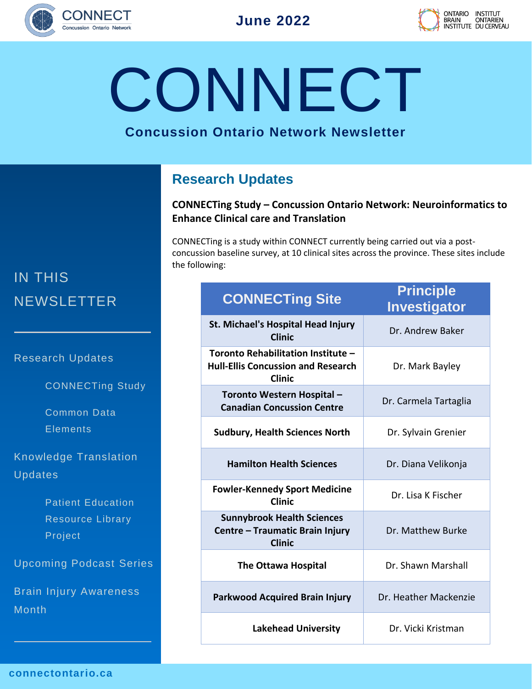



**CONNECT** 

### **Concussion Ontario Network Newsletter**

## **Research Updates**

### **CONNECTing Study – Concussion Ontario Network: Neuroinformatics to Enhance Clinical care and Translation**

CONNECTing is a study within CONNECT currently being carried out via a postconcussion baseline survey, at 10 clinical sites across the province. These sites include the following:

| <b>CONNECTing Site</b>                                                                           | <b>Principle</b><br><b>Investigator</b> |
|--------------------------------------------------------------------------------------------------|-----------------------------------------|
| St. Michael's Hospital Head Injury<br><b>Clinic</b>                                              | Dr. Andrew Baker                        |
| Toronto Rehabilitation Institute -<br><b>Hull-Ellis Concussion and Research</b><br><b>Clinic</b> | Dr. Mark Bayley                         |
| Toronto Western Hospital -<br><b>Canadian Concussion Centre</b>                                  | Dr. Carmela Tartaglia                   |
| <b>Sudbury, Health Sciences North</b>                                                            | Dr. Sylvain Grenier                     |
| <b>Hamilton Health Sciences</b>                                                                  | Dr. Diana Velikonja                     |
| <b>Fowler-Kennedy Sport Medicine</b><br>Clinic                                                   | Dr. Lisa K Fischer                      |
| <b>Sunnybrook Health Sciences</b><br>Centre - Traumatic Brain Injury<br><b>Clinic</b>            | Dr. Matthew Burke                       |
| The Ottawa Hospital                                                                              | Dr. Shawn Marshall                      |
| <b>Parkwood Acquired Brain Injury</b>                                                            | Dr. Heather Mackenzie                   |
| <b>Lakehead University</b>                                                                       | Dr. Vicki Kristman                      |

# IN THIS **NEWSLETTER**

Research Updates

CONNECTing Study

Common Data **Elements** 

Knowledge Translation Updates

> Patient Education Resource Library Project

Upcoming Podcast Series

Brain Injury Awareness Month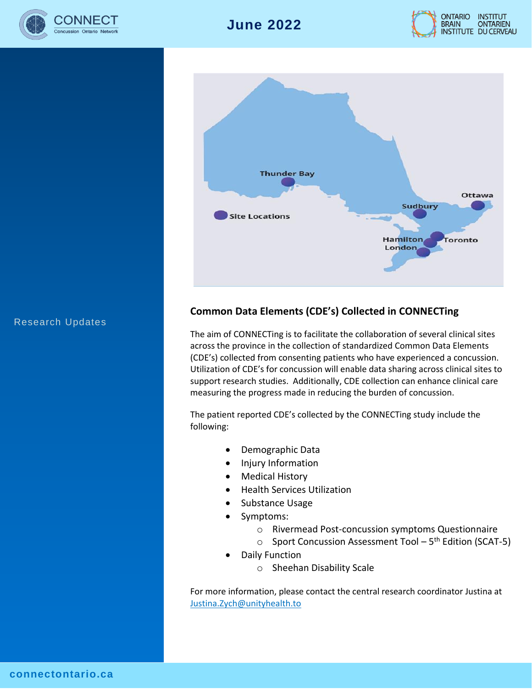





#### Research Updates

### **Common Data Elements (CDE's) Collected in CONNECTing**

The aim of CONNECTing is to facilitate the collaboration of several clinical sites across the province in the collection of standardized Common Data Elements (CDE's) collected from consenting patients who have experienced a concussion. Utilization of CDE's for concussion will enable data sharing across clinical sites to support research studies. Additionally, CDE collection can enhance clinical care measuring the progress made in reducing the burden of concussion.

The patient reported CDE's collected by the CONNECTing study include the following:

- Demographic Data
- Injury Information
- Medical History
- Health Services Utilization
- Substance Usage
- Symptoms:
	- o Rivermead Post-concussion symptoms Questionnaire
	- Sport Concussion Assessment Tool 5<sup>th</sup> Edition (SCAT-5)
- Daily Function
	- o Sheehan Disability Scale

For more information, please contact the central research coordinator Justina at [Justina.Zych@unityhealth.to](mailto:Justina.Zych@unityhealth.to)